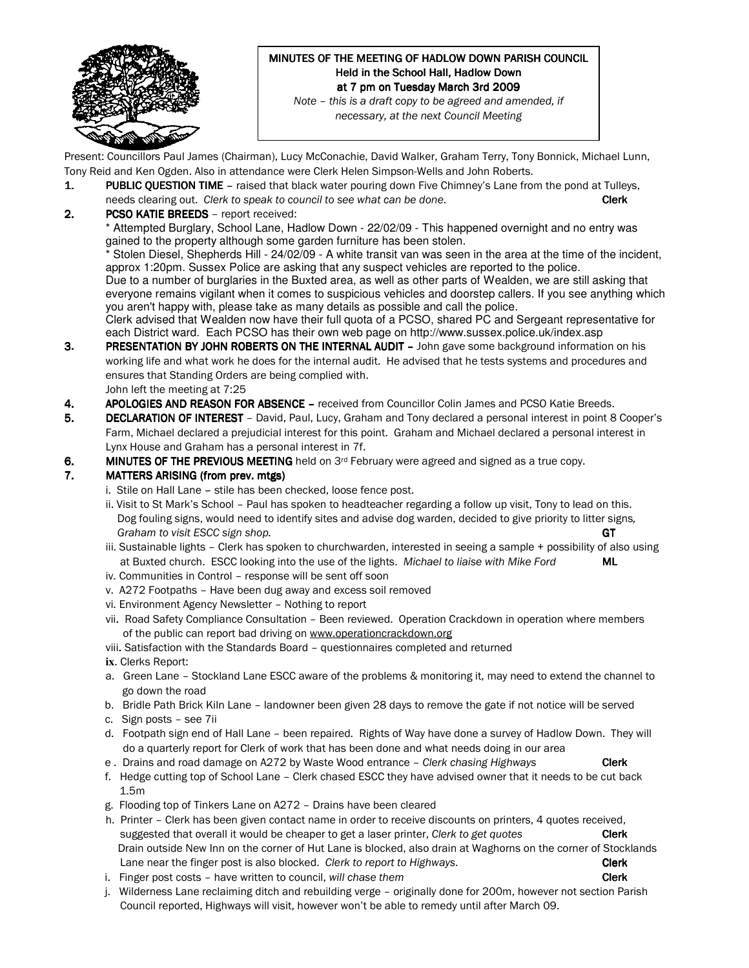

# MINUTES OF THE MEETING OF HADLOW DOWN PARISH COUNCIL Held in the School Hall, Hadlow Down at 7 pm on Tuesday March 3rd 2009

Note – this is a draft copy to be agreed and amended, if necessary, at the next Council Meeting

Present: Councillors Paul James (Chairman), Lucy McConachie, David Walker, Graham Terry, Tony Bonnick, Michael Lunn, Tony Reid and Ken Ogden. Also in attendance were Clerk Helen Simpson-Wells and John Roberts.

- 1. PUBLIC QUESTION TIME raised that black water pouring down Five Chimney's Lane from the pond at Tulleys, needs clearing out. Clerk to speak to council to see what can be done. Clerk Clerk
- 2. PCSO KATIE BREEDS report received:

Attempted Burglary, School Lane, Hadlow Down - 22/02/09 - This happened overnight and no entry was gained to the property although some garden furniture has been stolen.

Stolen Diesel, Shepherds Hill - 24/02/09 - A white transit van was seen in the area at the time of the incident, approx 1:20pm. Sussex Police are asking that any suspect vehicles are reported to the police.

Due to a number of burglaries in the Buxted area, as well as other parts of Wealden, we are still asking that everyone remains vigilant when it comes to suspicious vehicles and doorstep callers. If you see anything which you aren't happy with, please take as many details as possible and call the police.

Clerk advised that Wealden now have their full quota of a PCSO, shared PC and Sergeant representative for each District ward. Each PCSO has their own web page on http://www.sussex.police.uk/index.asp

- **3. PRESENTATION BY JOHN ROBERTS ON THE INTERNAL AUDIT John gave some background information on his**  working life and what work he does for the internal audit. He advised that he tests systems and procedures and ensures that Standing Orders are being complied with. John left the meeting at 7:25
- 4. APOLOGIES AND REASON FOR ABSENCE received from Councillor Colin James and PCSO Katie Breeds.
- 5. DECLARATION OF INTEREST David, Paul, Lucy, Graham and Tony declared a personal interest in point 8 Cooper's Farm, Michael declared a prejudicial interest for this point. Graham and Michael declared a personal interest in Lynx House and Graham has a personal interest in 7f.
- 6. MINUTES OF THE PREVIOUS MEETING held on  $3<sup>rd</sup>$  February were agreed and signed as a true copy.

#### 7. MATTERS ARISING (from prev. mtgs)

- i. Stile on Hall Lane stile has been checked, loose fence post.
- ii. Visit to St Mark's School Paul has spoken to headteacher regarding a follow up visit, Tony to lead on this. Dog fouling signs, would need to identify sites and advise dog warden, decided to give priority to litter signs, Graham to visit ESCC sign shop. GT
- iii. Sustainable lights Clerk has spoken to churchwarden, interested in seeing a sample + possibility of also using at Buxted church. ESCC looking into the use of the lights. Michael to liaise with Mike Ford ML
- iv. Communities in Control response will be sent off soon
- v. A272 Footpaths Have been dug away and excess soil removed
- vi. Environment Agency Newsletter Nothing to report
- vii. Road Safety Compliance Consultation Been reviewed. Operation Crackdown in operation where members of the public can report bad driving on www.operationcrackdown.org
- viii. Satisfaction with the Standards Board questionnaires completed and returned
- **ix**. Clerks Report:
- a. Green Lane Stockland Lane ESCC aware of the problems & monitoring it, may need to extend the channel to go down the road
- b. Bridle Path Brick Kiln Lane landowner been given 28 days to remove the gate if not notice will be served
- c. Sign posts see 7ii
- d. Footpath sign end of Hall Lane been repaired. Rights of Way have done a survey of Hadlow Down. They will do a quarterly report for Clerk of work that has been done and what needs doing in our area
- e . Drains and road damage on A272 by Waste Wood entrance Clerk chasing Highways Clerk
- f. Hedge cutting top of School Lane Clerk chased ESCC they have advised owner that it needs to be cut back 1.5m
- g. Flooding top of Tinkers Lane on A272 Drains have been cleared
- h. Printer Clerk has been given contact name in order to receive discounts on printers, 4 quotes received, suggested that overall it would be cheaper to get a laser printer, Clerk to get quotes Clerk Drain outside New Inn on the corner of Hut Lane is blocked, also drain at Waghorns on the corner of Stocklands Lane near the finger post is also blocked. Clerk to report to Highways. Clerk Clerk
- i. Finger post costs have written to council, will chase them **Clerk**
- j. Wilderness Lane reclaiming ditch and rebuilding verge originally done for 200m, however not section Parish Council reported, Highways will visit, however won't be able to remedy until after March 09.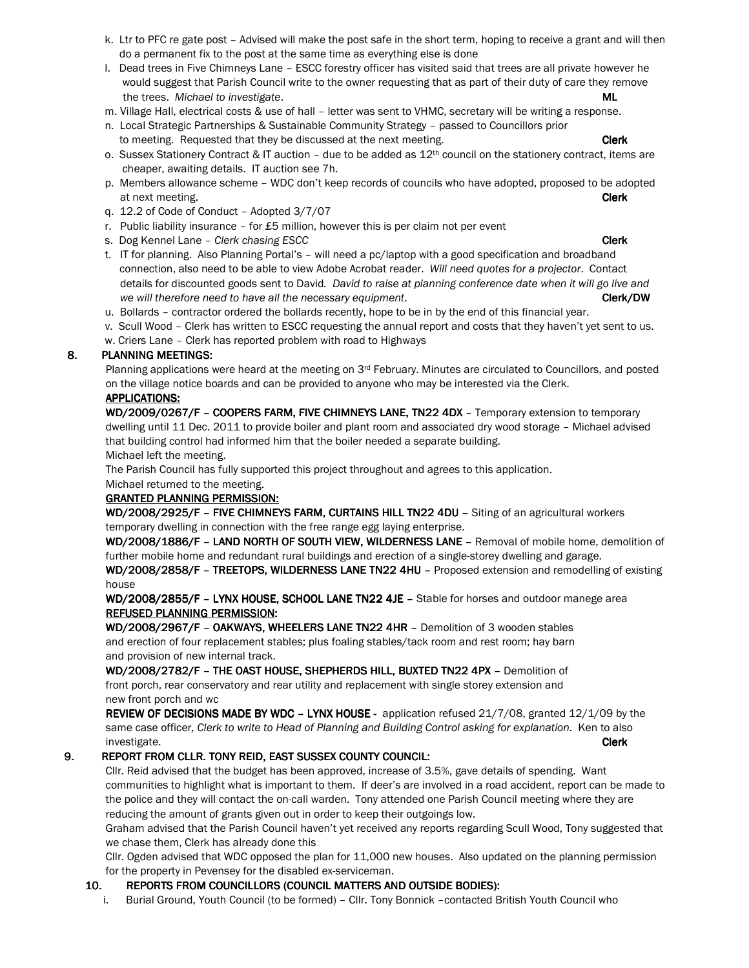- k. Ltr to PFC re gate post Advised will make the post safe in the short term, hoping to receive a grant and will then do a permanent fix to the post at the same time as everything else is done
- l. Dead trees in Five Chimneys Lane ESCC forestry officer has visited said that trees are all private however he would suggest that Parish Council write to the owner requesting that as part of their duty of care they remove the trees. Michael to investigate. Must be a set of the set of the set of the set of the set of the set of the  $ML$
- m. Village Hall, electrical costs & use of hall letter was sent to VHMC, secretary will be writing a response.
- n. Local Strategic Partnerships & Sustainable Community Strategy passed to Councillors prior to meeting. Requested that they be discussed at the next meeting. The control of the Clerk
- o. Sussex Stationery Contract & IT auction due to be added as  $12<sup>th</sup>$  council on the stationery contract, items are cheaper, awaiting details. IT auction see 7h.
- p. Members allowance scheme WDC don't keep records of councils who have adopted, proposed to be adopted at next meeting. **Clerk**
- q. 12.2 of Code of Conduct Adopted 3/7/07
- r. Public liability insurance  $-$  for £5 million, however this is per claim not per event
- s. Dog Kennel Lane Clerk chasing ESCC Clerk Clerk Clerk Clerk Clerk Clerk Clerk
- t. IT for planning. Also Planning Portal's will need a pc/laptop with a good specification and broadband connection, also need to be able to view Adobe Acrobat reader. Will need quotes for a projector. Contact details for discounted goods sent to David. David to raise at planning conference date when it will go live and we will therefore need to have all the necessary equipment. Clerk contains the clerk/DW Clerk/DW
- u. Bollards contractor ordered the bollards recently, hope to be in by the end of this financial year.
- v. Scull Wood Clerk has written to ESCC requesting the annual report and costs that they haven't yet sent to us.
- w. Criers Lane Clerk has reported problem with road to Highways

#### 8. PLANNING MEETINGS:

Planning applications were heard at the meeting on  $3^{rd}$  February. Minutes are circulated to Councillors, and posted on the village notice boards and can be provided to anyone who may be interested via the Clerk.

#### APPLICATIONS: APPLICATIONS:

WD/2009/0267/F - COOPERS FARM, FIVE CHIMNEYS LANE, TN22 4DX - Temporary extension to temporary dwelling until 11 Dec. 2011 to provide boiler and plant room and associated dry wood storage – Michael advised that building control had informed him that the boiler needed a separate building. Michael left the meeting.

The Parish Council has fully supported this project throughout and agrees to this application.

#### Michael returned to the meeting. GRANTED PLANNING PERMISSION:

WD/2008/2925/F – FIVE CHIMNEYS FARM, CURTAINS HILL TN22 4DU – Siting of an agricultural workers temporary dwelling in connection with the free range egg laying enterprise.

WD/2008/1886/F - LAND NORTH OF SOUTH VIEW, WILDERNESS LANE - Removal of mobile home, demolition of further mobile home and redundant rural buildings and erection of a single-storey dwelling and garage.

WD/2008/2858/F - TREETOPS, WILDERNESS LANE TN22 4HU - Proposed extension and remodelling of existing house

WD/2008/2855/F - LYNX HOUSE, SCHOOL LANE TN22 4JE - Stable for horses and outdoor manege area REFUSED PLANNING PERMISSION:

WD/2008/2967/F - OAKWAYS, WHEELERS LANE TN22 4HR - Demolition of 3 wooden stables and erection of four replacement stables; plus foaling stables/tack room and rest room; hay barn and provision of new internal track.

WD/2008/2782/F - THE OAST HOUSE, SHEPHERDS HILL, BUXTED TN22 4PX - Demolition of front porch, rear conservatory and rear utility and replacement with single storey extension and new front porch and wc

REVIEW OF DECISIONS MADE BY WDC - LYNX HOUSE - application refused 21/7/08, granted 12/1/09 by the same case officer, Clerk to write to Head of Planning and Building Control asking for explanation. Ken to also investigate. **Clerk** with the control of the control of the control of the control of the control of the control of the control of the control of the control of the control of the control of the control of the control of t

### 9. REPORT FROM CLLR. TONY REID, EAST SUSSEX COUNTY COUNCIL:

Cllr. Reid advised that the budget has been approved, increase of 3.5%, gave details of spending. Want communities to highlight what is important to them. If deer's are involved in a road accident, report can be made to the police and they will contact the on-call warden. Tony attended one Parish Council meeting where they are reducing the amount of grants given out in order to keep their outgoings low.

Graham advised that the Parish Council haven't yet received any reports regarding Scull Wood, Tony suggested that we chase them, Clerk has already done this

Cllr. Ogden advised that WDC opposed the plan for 11,000 new houses. Also updated on the planning permission for the property in Pevensey for the disabled ex-serviceman.

#### 10. REPORTS FROM COUNCILLORS (COUNCIL MATTERS AND OUTSIDE BODIES):

i. Burial Ground, Youth Council (to be formed) – Cllr. Tony Bonnick –contacted British Youth Council who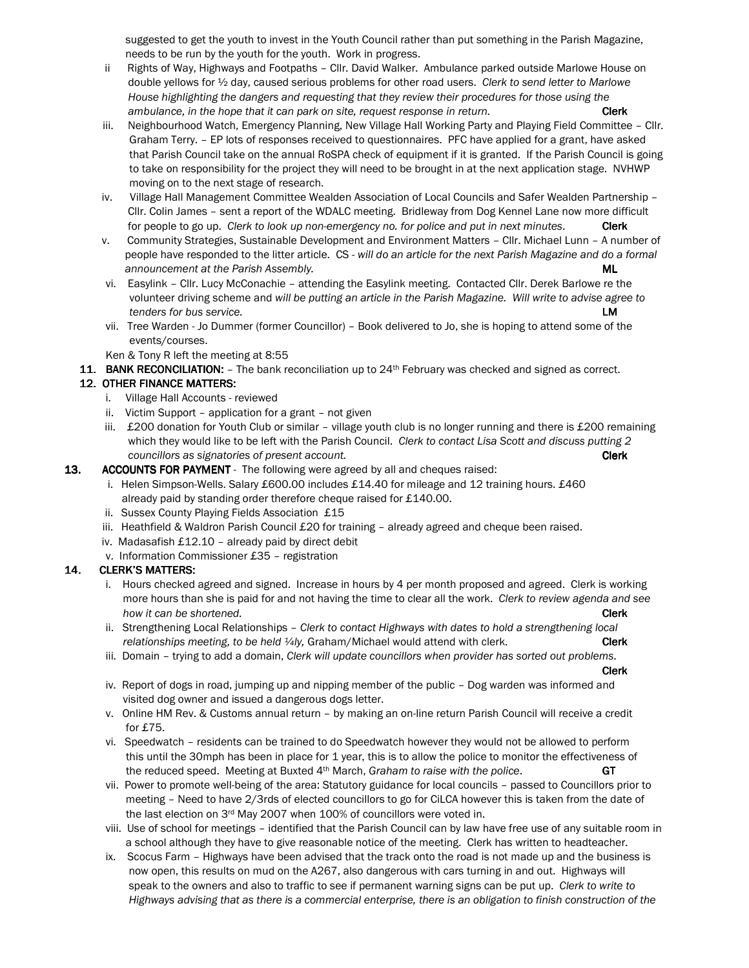suggested to get the youth to invest in the Youth Council rather than put something in the Parish Magazine, needs to be run by the youth for the youth. Work in progress.

- ii Rights of Way, Highways and Footpaths Cllr. David Walker. Ambulance parked outside Marlowe House on double yellows for ½ day, caused serious problems for other road users. Clerk to send letter to Marlowe House highlighting the dangers and requesting that they review their procedures for those using the ambulance, in the hope that it can park on site, request response in return. Clerk
- iii. Neighbourhood Watch, Emergency Planning, New Village Hall Working Party and Playing Field Committee Cllr. Graham Terry. – EP lots of responses received to questionnaires. PFC have applied for a grant, have asked that Parish Council take on the annual RoSPA check of equipment if it is granted. If the Parish Council is going to take on responsibility for the project they will need to be brought in at the next application stage. NVHWP moving on to the next stage of research.
- iv. Village Hall Management Committee Wealden Association of Local Councils and Safer Wealden Partnership Cllr. Colin James – sent a report of the WDALC meeting. Bridleway from Dog Kennel Lane now more difficult for people to go up. Clerk to look up non-emergency no. for police and put in next minutes. Clerk
- v. Community Strategies, Sustainable Development and Environment Matters Cllr. Michael Lunn A number of people have responded to the litter article. CS - will do an article for the next Parish Magazine and do a formal announcement at the Parish Assembly. And the example of the example of the example of the example of the example of the example of the example of the example of the example of the example of the example of the example of t
- vi. Easylink Cllr. Lucy McConachie attending the Easylink meeting. Contacted Cllr. Derek Barlowe re the volunteer driving scheme and will be putting an article in the Parish Magazine. Will write to advise agree to tenders for bus service. LM
- vii. Tree Warden Jo Dummer (former Councillor) Book delivered to Jo, she is hoping to attend some of the events/courses.

Ken & Tony R left the meeting at 8:55

11. BANK RECONCILIATION:  $-$  The bank reconciliation up to  $24<sup>th</sup>$  February was checked and signed as correct.

### 12. OTHER FINANCE MATTERS:

- i. Village Hall Accounts reviewed
- ii. Victim Support application for a grant not given
- iii.  $£200$  donation for Youth Club or similar village youth club is no longer running and there is  $£200$  remaining which they would like to be left with the Parish Council. Clerk to contact Lisa Scott and discuss putting 2 councillors as signatories of present account. Clerk and the state of present account.
- 13. ACCOUNTS FOR PAYMENT The following were agreed by all and cheques raised:
	- i. Helen Simpson-Wells. Salary £600.00 includes £14.40 for mileage and 12 training hours. £460 already paid by standing order therefore cheque raised for £140.00.
	- ii. Sussex County Playing Fields Association £15
	- iii. Heathfield & Waldron Parish Council £20 for training already agreed and cheque been raised.
	- iv. Madasafish £12.10 already paid by direct debit
	- v. Information Commissioner £35 registration

#### 14. CLERK'S MATTERS:

- i. Hours checked agreed and signed. Increase in hours by 4 per month proposed and agreed. Clerk is working more hours than she is paid for and not having the time to clear all the work. Clerk to review agenda and see how it can be shortened. **Clerk** the state of the state of the state of the state of the state of the state of the state of the state of the state of the state of the state of the state of the state of the state of the sta
- ii. Strengthening Local Relationships Clerk to contact Highways with dates to hold a strengthening local relationships meeting, to be held  $\frac{1}{4}$ ly, Graham/Michael would attend with clerk. Clerk
- iii. Domain trying to add a domain, Clerk will update councillors when provider has sorted out problems.

the contract of the contract of the contract of the contract of the contract of the contract of the contract of

- iv. Report of dogs in road, jumping up and nipping member of the public Dog warden was informed and visited dog owner and issued a dangerous dogs letter.
- v. Online HM Rev. & Customs annual return by making an on-line return Parish Council will receive a credit for £75.
- vi. Speedwatch residents can be trained to do Speedwatch however they would not be allowed to perform this until the 30mph has been in place for 1 year, this is to allow the police to monitor the effectiveness of the reduced speed. Meeting at Buxted  $4<sup>th</sup>$  March, Graham to raise with the police. GT
- vii. Power to promote well-being of the area: Statutory guidance for local councils passed to Councillors prior to meeting – Need to have 2/3rds of elected councillors to go for CiLCA however this is taken from the date of the last election on 3rd May 2007 when 100% of councillors were voted in.
- viii. Use of school for meetings identified that the Parish Council can by law have free use of any suitable room in a school although they have to give reasonable notice of the meeting. Clerk has written to headteacher.
- ix. Scocus Farm Highways have been advised that the track onto the road is not made up and the business is now open, this results on mud on the A267, also dangerous with cars turning in and out. Highways will speak to the owners and also to traffic to see if permanent warning signs can be put up. Clerk to write to Highways advising that as there is a commercial enterprise, there is an obligation to finish construction of the